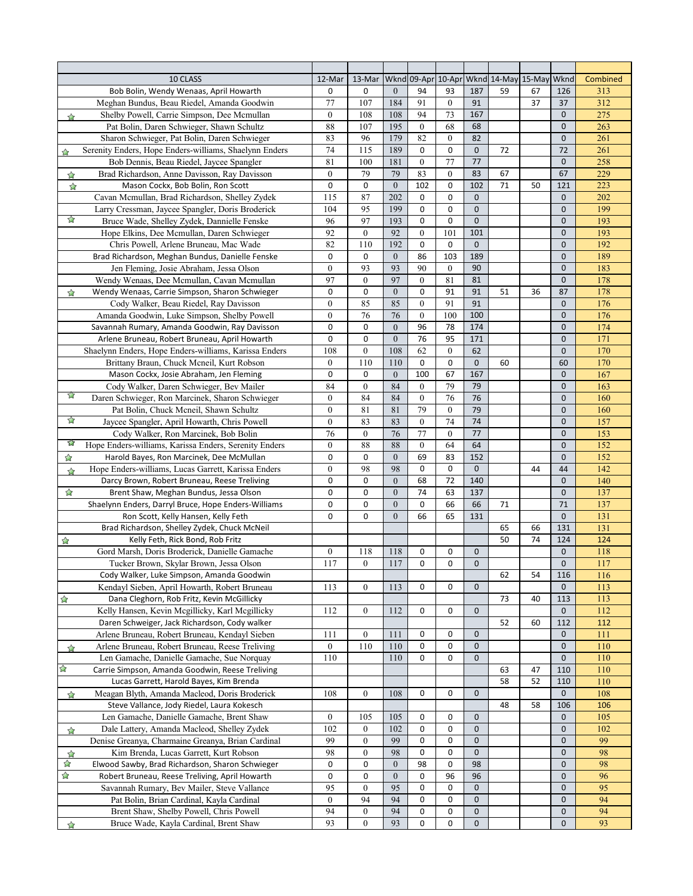| 10 CLASS                                                                          | 12-Mar           | 13-Mar           | Wknd             |              |                  |                | 09-Apr 10-Apr Wknd 14-May 15-May |    | Wknd         | Combined |
|-----------------------------------------------------------------------------------|------------------|------------------|------------------|--------------|------------------|----------------|----------------------------------|----|--------------|----------|
| Bob Bolin, Wendy Wenaas, April Howarth                                            | 0                | 0                | $\overline{0}$   | 94           | 93               | 187            | 59                               | 67 | 126          | 313      |
| Meghan Bundus, Beau Riedel, Amanda Goodwin                                        | 77               | 107              | 184              | 91           | $\mathbf{0}$     | 91             |                                  | 37 | 37           | 312      |
| Shelby Powell, Carrie Simpson, Dee Mcmullan<br>$\rightarrow$                      | $\mathbf{0}$     | 108              | 108              | 94           | 73               | 167            |                                  |    | 0            | 275      |
| Pat Bolin, Daren Schwieger, Shawn Schultz                                         | 88               | 107              | 195              | $\mathbf{0}$ | 68               | 68             |                                  |    | 0            | 263      |
| Sharon Schwieger, Pat Bolin, Daren Schwieger                                      | 83               | 96               | 179              | 82           | $\overline{0}$   | 82             |                                  |    | 0            | 261      |
| Serenity Enders, Hope Enders-williams, Shaelynn Enders<br>$\rightarrow$           | 74               | 115              | 189              | $\mathbf 0$  | 0                | $\mathbf 0$    | 72                               |    | 72           | 261      |
| Bob Dennis, Beau Riedel, Jaycee Spangler                                          | 81               | 100              | 181              | $\mathbf{0}$ | 77               | 77             |                                  |    | $\mathbf 0$  | 258      |
| Brad Richardson, Anne Davisson, Ray Davisson<br>$\overleftrightarrow{\mathbf{h}}$ | $\mathbf{0}$     | 79               | 79               | 83           | $\mathbf{0}$     | 83             | 67                               |    | 67           | 229      |
| Mason Cockx, Bob Bolin, Ron Scott<br>$\overleftrightarrow{\mathcal{L}}$           | $\mathbf 0$      | 0                | $\overline{0}$   | 102          | 0                | 102            | 71                               | 50 | 121          | 223      |
| Cavan Mcmullan, Brad Richardson, Shelley Zydek                                    | 115              | 87               | 202              | $\mathbf 0$  | 0                | $\mathbf 0$    |                                  |    | $\mathbf{0}$ | 202      |
| Larry Cressman, Jaycee Spangler, Doris Broderick                                  | 104              | 95               | 199              | $\mathbf 0$  | 0                | $\overline{0}$ |                                  |    | $\mathbf{0}$ | 199      |
| ☆<br>Bruce Wade, Shelley Zydek, Dannielle Fenske                                  | 96               | 97               | 193              | $\mathbf 0$  | 0                | $\mathbf{0}$   |                                  |    | $\mathbf{0}$ | 193      |
| Hope Elkins, Dee Mcmullan, Daren Schwieger                                        | 92               | $\overline{0}$   | 92               | $\mathbf{0}$ | 101              | 101            |                                  |    | $\mathbf{0}$ | 193      |
| Chris Powell, Arlene Bruneau, Mac Wade                                            | 82               | 110              | 192              | $\mathbf 0$  | $\mathbf 0$      | $\mathbf 0$    |                                  |    | 0            | 192      |
| Brad Richardson, Meghan Bundus, Danielle Fenske                                   | $\mathbf 0$      | 0                | $\overline{0}$   | 86           | 103              | 189            |                                  |    | $\mathbf{0}$ | 189      |
| Jen Fleming, Josie Abraham, Jessa Olson                                           | $\mathbf{0}$     | 93               | 93               | 90           | $\mathbf{0}$     | 90             |                                  |    | 0            | 183      |
| Wendy Wenaas, Dee Mcmullan, Cavan Mcmullan                                        | 97               | $\boldsymbol{0}$ | 97               | $\mathbf{0}$ | 81               | 81             |                                  |    | $\mathbf{0}$ | 178      |
|                                                                                   | $\mathbf 0$      | 0                | $\mathbf{0}$     | $\mathbf 0$  | 91               | 91             | 51                               | 36 | 87           | 178      |
| Wendy Wenaas, Carrie Simpson, Sharon Schwieger<br>☆                               | $\mathbf{0}$     | 85               | 85               |              | 91               |                |                                  |    |              | 176      |
| Cody Walker, Beau Riedel, Ray Davisson                                            |                  |                  |                  | $\mathbf{0}$ |                  | 91             |                                  |    | $\mathbf{0}$ |          |
| Amanda Goodwin, Luke Simpson, Shelby Powell                                       | $\mathbf{0}$     | 76               | 76               | $\mathbf{0}$ | 100              | 100            |                                  |    | $\mathbf{0}$ | 176      |
| Savannah Rumary, Amanda Goodwin, Ray Davisson                                     | $\mathbf 0$      | 0                | $\overline{0}$   | 96           | 78               | 174            |                                  |    | $\mathbf{0}$ | 174      |
| Arlene Bruneau, Robert Bruneau, April Howarth                                     | $\mathbf 0$      | 0                | $\overline{0}$   | 76           | 95               | 171            |                                  |    | 0            | 171      |
| Shaelynn Enders, Hope Enders-williams, Karissa Enders                             | 108              | $\boldsymbol{0}$ | 108              | 62           | $\mathbf{0}$     | 62             |                                  |    | 0            | 170      |
| Brittany Braun, Chuck Meneil, Kurt Robson                                         | $\mathbf{0}$     | 110              | 110              | $\mathbf 0$  | 0                | 0              | 60                               |    | 60           | 170      |
| Mason Cockx, Josie Abraham, Jen Fleming                                           | $\mathbf 0$      | 0                | $\overline{0}$   | 100          | 67               | 167            |                                  |    | $\mathbf{0}$ | 167      |
| Cody Walker, Daren Schwieger, Bev Mailer                                          | 84               | $\overline{0}$   | 84               | $\mathbf{0}$ | 79               | 79             |                                  |    | 0            | 163      |
| Daren Schwieger, Ron Marcinek, Sharon Schwieger                                   | $\mathbf{0}$     | 84               | 84               | $\mathbf{0}$ | 76               | 76             |                                  |    | 0            | 160      |
| Pat Bolin, Chuck Mcneil, Shawn Schultz                                            | $\mathbf{0}$     | 81               | 81               | 79           | $\boldsymbol{0}$ | 79             |                                  |    | 0            | 160      |
| ☆<br>Jaycee Spangler, April Howarth, Chris Powell                                 | $\mathbf{0}$     | 83               | 83               | $\mathbf{0}$ | 74               | 74             |                                  |    | 0            | 157      |
| Cody Walker, Ron Marcinek, Bob Bolin                                              | 76               | $\mathbf{0}$     | 76               | 77           | $\mathbf{0}$     | 77             |                                  |    | 0            | 153      |
| 53<br>Hope Enders-williams, Karissa Enders, Serenity Enders                       | $\mathbf{0}$     | 88               | 88               | $\mathbf{0}$ | 64               | 64             |                                  |    | 0            | 152      |
| Harold Bayes, Ron Marcinek, Dee McMullan<br>☆                                     | 0                | 0                | $\mathbf{0}$     | 69           | 83               | 152            |                                  |    | $\mathbf{0}$ | 152      |
| Hope Enders-williams, Lucas Garrett, Karissa Enders<br>$\rightarrow$              | $\mathbf{0}$     | 98               | 98               | 0            | $\mathbf 0$      | $\mathbf{0}$   |                                  | 44 | 44           | 142      |
| Darcy Brown, Robert Bruneau, Reese Treliving                                      | 0                | 0                | $\mathbf{0}$     | 68           | 72               | 140            |                                  |    | $\mathbf{0}$ | 140      |
| ☆<br>Brent Shaw, Meghan Bundus, Jessa Olson                                       | $\mathbf 0$      | 0                | $\overline{0}$   | 74           | 63               | 137            |                                  |    | $\mathbf{0}$ | 137      |
| Shaelynn Enders, Darryl Bruce, Hope Enders-Williams                               | 0                | 0                | $\boldsymbol{0}$ | $\mathbf 0$  | 66               | 66             | 71                               |    | 71           | 137      |
| Ron Scott, Kelly Hansen, Kelly Feth                                               | $\mathbf 0$      | 0                | $\boldsymbol{0}$ | 66           | 65               | 131            |                                  |    | 0            | 131      |
| Brad Richardson, Shelley Zydek, Chuck McNeil                                      |                  |                  |                  |              |                  |                | 65                               | 66 | 131          | 131      |
| Kelly Feth, Rick Bond, Rob Fritz<br>☆                                             |                  |                  |                  |              |                  |                | 50                               | 74 | 124          | 124      |
| Gord Marsh, Doris Broderick, Danielle Gamache                                     | $\boldsymbol{0}$ | 118              | 118              | 0            | 0                | 0              |                                  |    | 0            | 118      |
| Tucker Brown, Skylar Brown, Jessa Olson                                           | 117              | $\mathbf{0}$     | 117              | $\mathbf 0$  | 0                | $\bf 0$        |                                  |    | $\mathbf{0}$ | 117      |
| Cody Walker, Luke Simpson, Amanda Goodwin                                         |                  |                  |                  |              |                  |                | 62                               | 54 | 116          | 116      |
| Kendayl Sieben, April Howarth, Robert Bruneau                                     | 113              | $\overline{0}$   | 113              | 0            | 0                | 0              |                                  |    | 0            | 113      |
| $\mathbb{Z}$<br>Dana Cleghorn, Rob Fritz, Kevin McGillicky                        |                  |                  |                  |              |                  |                | 73                               | 40 | 113          | 113      |
| Kelly Hansen, Kevin Mcgillicky, Karl Mcgillicky                                   | 112              | $\boldsymbol{0}$ | 112              | 0            | 0                | 0              |                                  |    | 0            | 112      |
| Daren Schweiger, Jack Richardson, Cody walker                                     |                  |                  |                  |              |                  |                | 52                               | 60 | 112          | 112      |
| Arlene Bruneau, Robert Bruneau, Kendayl Sieben                                    | 111              | $\boldsymbol{0}$ | 111              | 0            | 0                | 0              |                                  |    | 0            | 111      |
| Arlene Bruneau, Robert Bruneau, Reese Treliving<br>$\big\uparrow$                 | $\boldsymbol{0}$ | 110              | 110              | 0            | 0                | 0              |                                  |    | 0            | 110      |
| Len Gamache, Danielle Gamache, Sue Norquay                                        | 110              |                  | 110              | 0            | 0                | 0              |                                  |    | 0            | 110      |
| ☆<br>Carrie Simpson, Amanda Goodwin, Reese Treliving                              |                  |                  |                  |              |                  |                | 63                               | 47 | 110          | 110      |
| Lucas Garrett, Harold Bayes, Kim Brenda                                           |                  |                  |                  |              |                  |                | 58                               | 52 | 110          | 110      |
| Meagan Blyth, Amanda Macleod, Doris Broderick<br>$\sum$                           | 108              | $\boldsymbol{0}$ | 108              | 0            | 0                | 0              |                                  |    | 0            | 108      |
| Steve Vallance, Jody Riedel, Laura Kokesch                                        |                  |                  |                  |              |                  |                | 48                               | 58 | 106          | 106      |
| Len Gamache, Danielle Gamache, Brent Shaw                                         | $\boldsymbol{0}$ | 105              | 105              | 0            | 0                | 0              |                                  |    | 0            | 105      |
| Dale Lattery, Amanda Macleod, Shelley Zydek<br>☆                                  | 102              | 0                | 102              | 0            | 0                | 0              |                                  |    | 0            | 102      |
| Denise Greanya, Charmaine Greanya, Brian Cardinal                                 | 99               | $\boldsymbol{0}$ | 99               | 0            | 0                | 0              |                                  |    | 0            | 99       |
| Kim Brenda, Lucas Garrett, Kurt Robson<br>$\mathbb{Z}$                            | 98               | $\boldsymbol{0}$ | 98               | 0            | 0                | $\mathbf 0$    |                                  |    | 0            | 98       |
| ☆<br>Elwood Sawby, Brad Richardson, Sharon Schwieger                              | 0                | 0                | $\boldsymbol{0}$ | 98           | 0                | 98             |                                  |    | 0            | 98       |
| $\boldsymbol{\mathrm{\hat{h}}}$<br>Robert Bruneau, Reese Treliving, April Howarth | 0                | 0                | $\boldsymbol{0}$ | 0            | 96               | 96             |                                  |    | 0            | 96       |
| Savannah Rumary, Bev Mailer, Steve Vallance                                       | 95               | $\boldsymbol{0}$ | 95               | 0            | 0                | $\mathbf 0$    |                                  |    | 0            | 95       |
| Pat Bolin, Brian Cardinal, Kayla Cardinal                                         | $\mathbf{0}$     | 94               | 94               | 0            | 0                | 0              |                                  |    | $\mathbf{0}$ | 94       |
| Brent Shaw, Shelby Powell, Chris Powell                                           | 94               | $\boldsymbol{0}$ | 94               | $\pmb{0}$    | 0                | 0              |                                  |    | 0            | 94       |
| Bruce Wade, Kayla Cardinal, Brent Shaw                                            | 93               | $\boldsymbol{0}$ | 93               | 0            | 0                | 0              |                                  |    | 0            | 93       |
| ☆                                                                                 |                  |                  |                  |              |                  |                |                                  |    |              |          |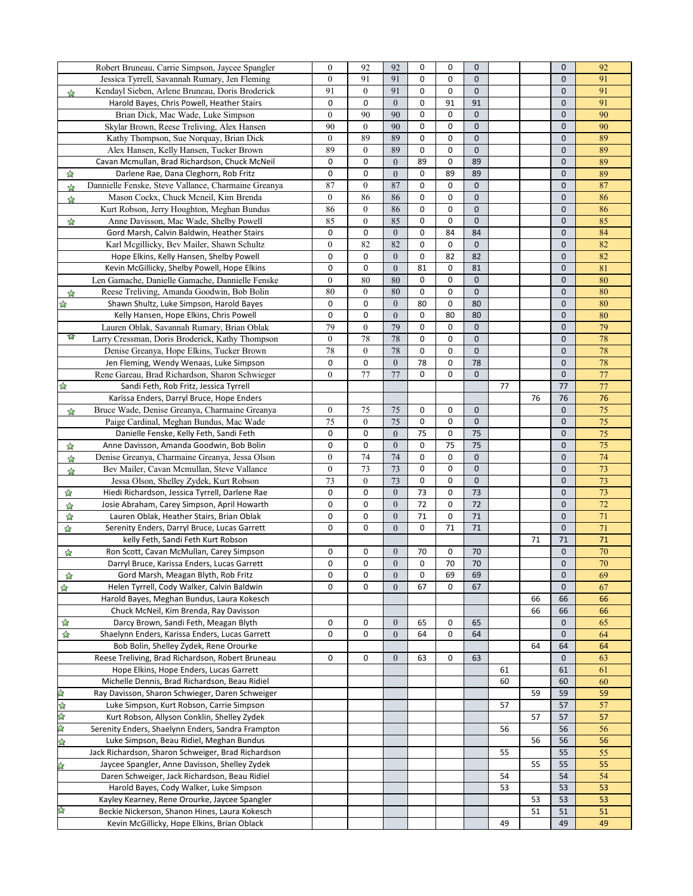|                                   | Robert Bruneau, Carrie Simpson, Jaycee Spangler     | $\boldsymbol{0}$ | 92               | 92               | $\mathbf 0$ | 0  | $\mathbf{0}$ |    |    | 0            | 92              |
|-----------------------------------|-----------------------------------------------------|------------------|------------------|------------------|-------------|----|--------------|----|----|--------------|-----------------|
|                                   |                                                     | $\boldsymbol{0}$ | 91               | 91               | $\mathbf 0$ | 0  | $\mathbf{0}$ |    |    | 0            | 91              |
|                                   | Jessica Tyrrell, Savannah Rumary, Jen Fleming       |                  |                  |                  |             |    |              |    |    |              |                 |
| $\rightarrow$                     | Kendayl Sieben, Arlene Bruneau, Doris Broderick     | 91               | $\boldsymbol{0}$ | 91               | $\mathbf 0$ | 0  | $\mathbf{0}$ |    |    | $\mathbf 0$  | 91              |
|                                   | Harold Bayes, Chris Powell, Heather Stairs          | $\mathbf 0$      | 0                | $\boldsymbol{0}$ | $\mathbf 0$ | 91 | 91           |    |    | 0            | 91              |
|                                   | Brian Dick, Mac Wade, Luke Simpson                  | $\boldsymbol{0}$ | 90               | 90               | $\mathbf 0$ | 0  | 0            |    |    | 0            | 90              |
|                                   | Skylar Brown, Reese Treliving, Alex Hansen          | 90               | $\mathbf{0}$     | 90               | 0           | 0  | $\mathbf 0$  |    |    | 0            | 90              |
|                                   | Kathy Thompson, Sue Norquay, Brian Dick             | $\mathbf{0}$     | 89               | 89               | $\mathbf 0$ | 0  | $\mathbf 0$  |    |    | 0            | 89              |
|                                   | Alex Hansen, Kelly Hansen, Tucker Brown             | 89               | $\boldsymbol{0}$ | 89               | $\mathbf 0$ | 0  | 0            |    |    | 0            | 89              |
|                                   | Cavan Mcmullan, Brad Richardson, Chuck McNeil       | 0                | 0                | $\overline{0}$   | 89          | 0  | 89           |    |    | 0            | 89              |
| ☆                                 | Darlene Rae, Dana Cleghorn, Rob Fritz               | 0                | 0                | $\boldsymbol{0}$ | $\mathbf 0$ | 89 | 89           |    |    | 0            | 89              |
|                                   |                                                     | 87               |                  | 87               | $\mathbf 0$ | 0  | 0            |    |    |              | 87              |
| $\rightarrow$                     | Dannielle Fenske, Steve Vallance, Charmaine Greanya |                  | $\boldsymbol{0}$ |                  |             |    |              |    |    | 0            |                 |
| $\approx$                         | Mason Cockx, Chuck Mcneil, Kim Brenda               | $\theta$         | 86               | 86               | $\mathbf 0$ | 0  | $\mathbf 0$  |    |    | 0            | 86              |
|                                   | Kurt Robson, Jerry Houghton, Meghan Bundus          | 86               | $\boldsymbol{0}$ | 86               | $\mathbf 0$ | 0  | 0            |    |    | 0            | 86              |
| ☆                                 | Anne Davisson, Mac Wade, Shelby Powell              | 85               | $\boldsymbol{0}$ | 85               | 0           | 0  | $\mathbf{0}$ |    |    | 0            | 85              |
|                                   | Gord Marsh, Calvin Baldwin, Heather Stairs          | 0                | 0                | $\overline{0}$   | $\mathbf 0$ | 84 | 84           |    |    | 0            | 84              |
|                                   | Karl Mcgillicky, Bev Mailer, Shawn Schultz          | $\mathbf{0}$     | 82               | 82               | $\mathbf 0$ | 0  | $\mathbf{0}$ |    |    | 0            | 82              |
|                                   | Hope Elkins, Kelly Hansen, Shelby Powell            | 0                | 0                | $\overline{0}$   | 0           | 82 | 82           |    |    | $\mathbf 0$  | 82              |
|                                   | Kevin McGillicky, Shelby Powell, Hope Elkins        | $\mathbf 0$      | 0                | $\boldsymbol{0}$ | 81          | 0  | 81           |    |    | 0            | 81              |
|                                   | Len Gamache, Danielle Gamache, Dannielle Fenske     | $\boldsymbol{0}$ | 80               | 80               | 0           | 0  | 0            |    |    | 0            | 80              |
|                                   |                                                     |                  |                  |                  |             |    |              |    |    |              |                 |
| $\big\uparrow$                    | Reese Treliving, Amanda Goodwin, Bob Bolin          | 80               | $\boldsymbol{0}$ | 80               | $\mathbf 0$ | 0  | $\mathbf 0$  |    |    | 0            | 80              |
| ☆                                 | Shawn Shultz, Luke Simpson, Harold Bayes            | 0                | 0                | $\boldsymbol{0}$ | 80          | 0  | 80           |    |    | 0            | 80              |
|                                   | Kelly Hansen, Hope Elkins, Chris Powell             | 0                | 0                | $\overline{0}$   | $\mathbf 0$ | 80 | 80           |    |    | 0            | 80              |
|                                   | Lauren Oblak, Savannah Rumary, Brian Oblak          | 79               | $\boldsymbol{0}$ | 79               | $\mathbf 0$ | 0  | 0            |    |    | 0            | 79              |
| 77                                | Larry Cressman, Doris Broderick, Kathy Thompson     | $\theta$         | 78               | 78               | $\mathbf 0$ | 0  | 0            |    |    | 0            | 78              |
|                                   | Denise Greanya, Hope Elkins, Tucker Brown           | 78               | $\boldsymbol{0}$ | 78               | 0           | 0  | 0            |    |    | 0            | 78              |
|                                   | Jen Fleming, Wendy Wenaas, Luke Simpson             | $\mathbf 0$      | 0                | $\boldsymbol{0}$ | 78          | 0  | 78           |    |    | 0            | 78              |
|                                   | Rene Gareau, Brad Richardson, Sharon Schwieger      | $\boldsymbol{0}$ | $77 \,$          | $77 \,$          | 0           | 0  | $\mathbf 0$  |    |    | 0            | 77              |
| $\boldsymbol{\hat{\Sigma}}$       | Sandi Feth, Rob Fritz, Jessica Tyrrell              |                  |                  |                  |             |    |              | 77 |    | 77           | 77              |
|                                   |                                                     |                  |                  |                  |             |    |              |    |    |              | 76              |
|                                   | Karissa Enders, Darryl Bruce, Hope Enders           |                  |                  |                  |             |    |              |    | 76 | 76           |                 |
| ☆                                 | Bruce Wade, Denise Greanya, Charmaine Greanya       | $\boldsymbol{0}$ | 75               | 75               | 0           | 0  | 0            |    |    | $\mathbf 0$  | $\overline{75}$ |
|                                   | Paige Cardinal, Meghan Bundus, Mac Wade             | 75               | $\boldsymbol{0}$ | 75               | 0           | 0  | 0            |    |    | 0            | 75              |
|                                   | Danielle Fenske, Kelly Feth, Sandi Feth             | 0                | 0                | $\boldsymbol{0}$ | 75          | 0  | 75           |    |    | 0            | 75              |
| ☆                                 | Anne Davisson, Amanda Goodwin, Bob Bolin            | 0                | 0                | $\boldsymbol{0}$ | 0           | 75 | 75           |    |    | 0            | 75              |
| ☆                                 | Denise Greanya, Charmaine Greanya, Jessa Olson      | $\mathbf{0}$     | 74               | 74               | 0           | 0  | 0            |    |    | 0            | 74              |
| $\overleftrightarrow{c}$          | Bev Mailer, Cavan Mcmullan, Steve Vallance          | $\mathbf{0}$     | 73               | 73               | 0           | 0  | 0            |    |    | 0            | $\overline{73}$ |
|                                   | Jessa Olson, Shelley Zydek, Kurt Robson             | 73               | $\boldsymbol{0}$ | 73               | 0           | 0  | 0            |    |    | $\mathbf{0}$ | $\overline{73}$ |
| ☆                                 | Hiedi Richardson, Jessica Tyrrell, Darlene Rae      | $\mathbf 0$      | 0                | $\overline{0}$   | 73          | 0  | 73           |    |    | 0            | 73              |
|                                   | Josie Abraham, Carey Simpson, April Howarth         | 0                | 0                | $\boldsymbol{0}$ | 72          | 0  | 72           |    |    | 0            | 72              |
| ☆                                 |                                                     |                  |                  |                  |             |    |              |    |    |              |                 |
| ☆                                 | Lauren Oblak, Heather Stairs, Brian Oblak           | 0                | 0                | $\boldsymbol{0}$ | 71          | 0  | 71           |    |    | 0            | 71              |
| ☆                                 | Serenity Enders, Darryl Bruce, Lucas Garrett        | 0                | 0                | $\overline{0}$   | 0           | 71 | 71           |    |    | $\mathbf 0$  | $\overline{71}$ |
|                                   | kelly Feth, Sandi Feth Kurt Robson                  |                  |                  |                  |             |    |              |    | 71 | 71           | 71              |
| ☆                                 | Ron Scott, Cavan McMullan, Carey Simpson            | 0                | 0                | $\boldsymbol{0}$ | 70          | 0  | 70           |    |    | 0            | $\overline{70}$ |
|                                   | Darryl Bruce, Karissa Enders, Lucas Garrett         | 0                | 0                | $\overline{0}$   | $\mathbf 0$ | 70 | 70           |    |    | $\mathbf{0}$ | $70\,$          |
| ☆                                 | Gord Marsh, Meagan Blyth, Rob Fritz                 | 0                | 0                | $\boldsymbol{0}$ | 0           | 69 | 69           |    |    | 0            | 69              |
| ☆                                 | Helen Tyrrell, Cody Walker, Calvin Baldwin          | 0                | 0                | $\overline{0}$   | 67          | 0  | 67           |    |    | 0            | 67              |
|                                   | Harold Bayes, Meghan Bundus, Laura Kokesch          |                  |                  |                  |             |    |              |    | 66 | 66           | 66              |
|                                   | Chuck McNeil, Kim Brenda, Ray Davisson              |                  |                  |                  |             |    |              |    | 66 | 66           | 66              |
|                                   |                                                     | 0                | 0                | $\overline{0}$   | 65          | 0  | 65           |    |    | 0            |                 |
| ☆                                 | Darcy Brown, Sandi Feth, Meagan Blyth               |                  |                  |                  |             |    |              |    |    |              | 65              |
| ☆                                 | Shaelynn Enders, Karissa Enders, Lucas Garrett      | 0                | 0                | $\overline{0}$   | 64          | 0  | 64           |    |    | 0            | 64              |
|                                   | Bob Bolin, Shelley Zydek, Rene Orourke              |                  |                  |                  |             |    |              |    | 64 | 64           | 64              |
|                                   | Reese Treliving, Brad Richardson, Robert Bruneau    | 0                | 0                | $\boldsymbol{0}$ | 63          | 0  | 63           |    |    | 0            | 63              |
|                                   | Hope Elkins, Hope Enders, Lucas Garrett             |                  |                  |                  |             |    |              | 61 |    | 61           | 61              |
|                                   | Michelle Dennis, Brad Richardson, Beau Ridiel       |                  |                  |                  |             |    |              | 60 |    | 60           | 60              |
| $\mathbf{r}$                      | Ray Davisson, Sharon Schwieger, Daren Schweiger     |                  |                  |                  |             |    |              |    | 59 | 59           | 59              |
| $\overleftrightarrow{\mathbf{h}}$ | Luke Simpson, Kurt Robson, Carrie Simpson           |                  |                  |                  |             |    |              | 57 |    | 57           | 57              |
| ☆                                 | Kurt Robson, Allyson Conklin, Shelley Zydek         |                  |                  |                  |             |    |              |    | 57 | 57           | 57              |
| $\lesssim$                        | Serenity Enders, Shaelynn Enders, Sandra Frampton   |                  |                  |                  |             |    |              | 56 |    | 56           | 56              |
|                                   |                                                     |                  |                  |                  |             |    |              |    | 56 |              | 56              |
| $\overleftrightarrow{L}$          | Luke Simpson, Beau Ridiel, Meghan Bundus            |                  |                  |                  |             |    |              |    |    | 56           |                 |
|                                   | Jack Richardson, Sharon Schweiger, Brad Richardson  |                  |                  |                  |             |    |              | 55 |    | 55           | 55              |
|                                   | Jaycee Spangler, Anne Davisson, Shelley Zydek       |                  |                  |                  |             |    |              |    | 55 | 55           | 55              |
|                                   | Daren Schweiger, Jack Richardson, Beau Ridiel       |                  |                  |                  |             |    |              | 54 |    | 54           | 54              |
|                                   | Harold Bayes, Cody Walker, Luke Simpson             |                  |                  |                  |             |    |              | 53 |    | 53           | 53              |
|                                   | Kayley Kearney, Rene Orourke, Jaycee Spangler       |                  |                  |                  |             |    |              |    | 53 | 53           | 53              |
| ☆                                 | Beckie Nickerson, Shanon Hines, Laura Kokesch       |                  |                  |                  |             |    |              |    | 51 | 51           | 51              |
|                                   | Kevin McGillicky, Hope Elkins, Brian Oblack         |                  |                  |                  |             |    |              | 49 |    | 49           | 49              |
|                                   |                                                     |                  |                  |                  |             |    |              |    |    |              |                 |